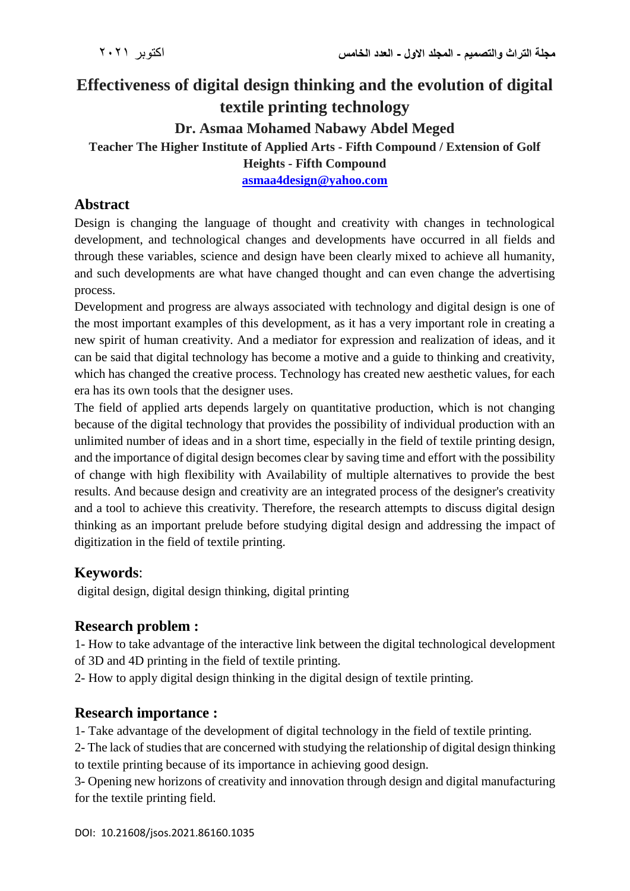# **Effectiveness of digital design thinking and the evolution of digital textile printing technology Dr. Asmaa Mohamed Nabawy Abdel Meged Teacher The Higher Institute of Applied Arts - Fifth Compound / Extension of Golf Heights - Fifth Compound [asmaa4design@yahoo.com](mailto:asmaa4design@yahoo.com)**

### **Abstract**

Design is changing the language of thought and creativity with changes in technological development, and technological changes and developments have occurred in all fields and through these variables, science and design have been clearly mixed to achieve all humanity, and such developments are what have changed thought and can even change the advertising process.

Development and progress are always associated with technology and digital design is one of the most important examples of this development, as it has a very important role in creating a new spirit of human creativity. And a mediator for expression and realization of ideas, and it can be said that digital technology has become a motive and a guide to thinking and creativity, which has changed the creative process. Technology has created new aesthetic values, for each era has its own tools that the designer uses.

The field of applied arts depends largely on quantitative production, which is not changing because of the digital technology that provides the possibility of individual production with an unlimited number of ideas and in a short time, especially in the field of textile printing design, and the importance of digital design becomes clear by saving time and effort with the possibility of change with high flexibility with Availability of multiple alternatives to provide the best results. And because design and creativity are an integrated process of the designer's creativity and a tool to achieve this creativity. Therefore, the research attempts to discuss digital design thinking as an important prelude before studying digital design and addressing the impact of digitization in the field of textile printing.

## **Keywords**:

digital design, digital design thinking, digital printing

#### **Research problem :**

1- How to take advantage of the interactive link between the digital technological development of 3D and 4D printing in the field of textile printing.

2- How to apply digital design thinking in the digital design of textile printing.

#### **Research importance :**

1- Take advantage of the development of digital technology in the field of textile printing.

2- The lack of studies that are concerned with studying the relationship of digital design thinking to textile printing because of its importance in achieving good design.

3- Opening new horizons of creativity and innovation through design and digital manufacturing for the textile printing field.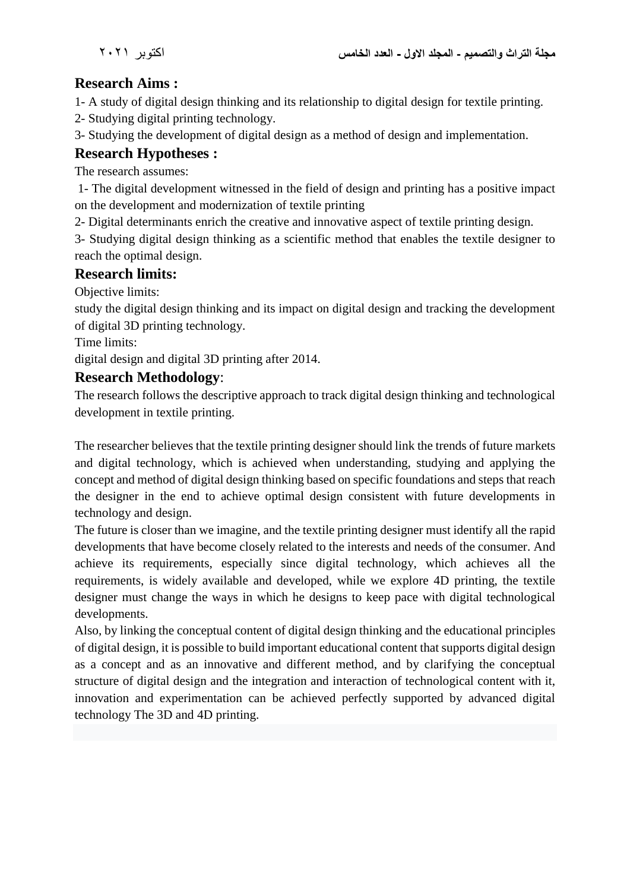## **Research Aims :**

1- A study of digital design thinking and its relationship to digital design for textile printing.

2- Studying digital printing technology.

3- Studying the development of digital design as a method of design and implementation.

## **Research Hypotheses :**

The research assumes:

1- The digital development witnessed in the field of design and printing has a positive impact on the development and modernization of textile printing

2- Digital determinants enrich the creative and innovative aspect of textile printing design.

3- Studying digital design thinking as a scientific method that enables the textile designer to reach the optimal design.

#### **Research limits:**

Objective limits:

study the digital design thinking and its impact on digital design and tracking the development of digital 3D printing technology.

Time limits:

digital design and digital 3D printing after 2014.

## **Research Methodology**:

The research follows the descriptive approach to track digital design thinking and technological development in textile printing.

The researcher believes that the textile printing designer should link the trends of future markets and digital technology, which is achieved when understanding, studying and applying the concept and method of digital design thinking based on specific foundations and steps that reach the designer in the end to achieve optimal design consistent with future developments in technology and design.

The future is closer than we imagine, and the textile printing designer must identify all the rapid developments that have become closely related to the interests and needs of the consumer. And achieve its requirements, especially since digital technology, which achieves all the requirements, is widely available and developed, while we explore 4D printing, the textile designer must change the ways in which he designs to keep pace with digital technological developments.

Also, by linking the conceptual content of digital design thinking and the educational principles of digital design, it is possible to build important educational content that supports digital design as a concept and as an innovative and different method, and by clarifying the conceptual structure of digital design and the integration and interaction of technological content with it, innovation and experimentation can be achieved perfectly supported by advanced digital technology The 3D and 4D printing.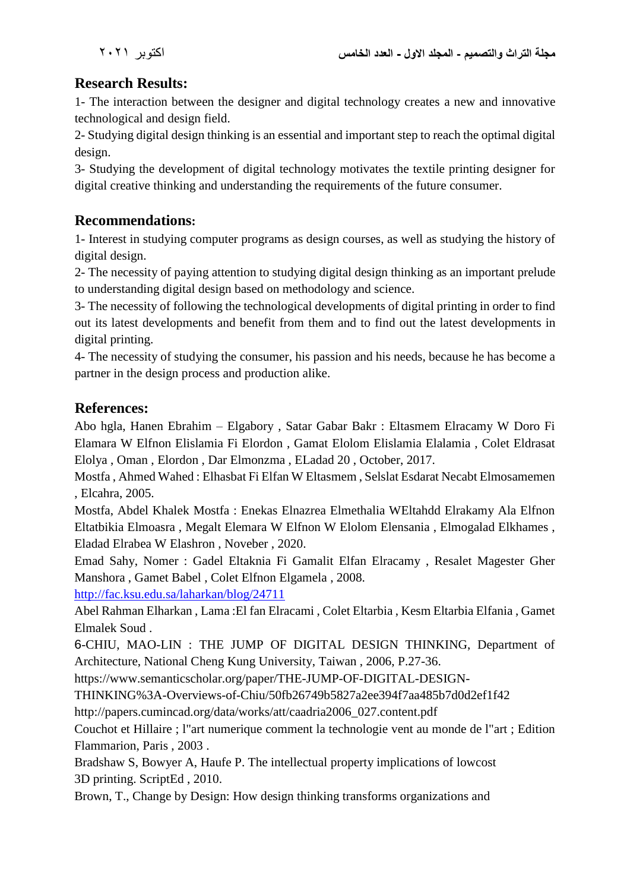## **Research Results:**

1- The interaction between the designer and digital technology creates a new and innovative technological and design field.

2- Studying digital design thinking is an essential and important step to reach the optimal digital design.

3- Studying the development of digital technology motivates the textile printing designer for digital creative thinking and understanding the requirements of the future consumer.

## **Recommendations:**

1- Interest in studying computer programs as design courses, as well as studying the history of digital design.

2- The necessity of paying attention to studying digital design thinking as an important prelude to understanding digital design based on methodology and science.

3- The necessity of following the technological developments of digital printing in order to find out its latest developments and benefit from them and to find out the latest developments in digital printing.

4- The necessity of studying the consumer, his passion and his needs, because he has become a partner in the design process and production alike.

## **References:**

Abo hgla, Hanen Ebrahim – Elgabory , Satar Gabar Bakr : Eltasmem Elracamy W Doro Fi Elamara W Elfnon Elislamia Fi Elordon , Gamat Elolom Elislamia Elalamia , Colet Eldrasat Elolya , Oman , Elordon , Dar Elmonzma , ELadad 20 , October, 2017.

Mostfa , Ahmed Wahed : Elhasbat Fi Elfan W Eltasmem , Selslat Esdarat Necabt Elmosamemen , Elcahra, 2005.

Mostfa, Abdel Khalek Mostfa : Enekas Elnazrea Elmethalia WEltahdd Elrakamy Ala Elfnon Eltatbikia Elmoasra , Megalt Elemara W Elfnon W Elolom Elensania , Elmogalad Elkhames , Eladad Elrabea W Elashron , Noveber , 2020.

Emad Sahy, Nomer : Gadel Eltaknia Fi Gamalit Elfan Elracamy , Resalet Magester Gher Manshora , Gamet Babel , Colet Elfnon Elgamela , 2008.

<http://fac.ksu.edu.sa/laharkan/blog/24711>

Abel Rahman Elharkan , Lama :El fan Elracami , Colet Eltarbia , Kesm Eltarbia Elfania , Gamet Elmalek Soud .

6-CHIU, MAO-LIN : THE JUMP OF DIGITAL DESIGN THINKING, Department of Architecture, National Cheng Kung University, Taiwan , 2006, P.27-36.

[https://www.semanticscholar.org/paper/THE-JUMP-OF-DIGITAL-DESIGN-](https://www.semanticscholar.org/paper/THE-JUMP-OF-DIGITAL-DESIGN-THINKING%3A-Overviews-of-Chiu/50fb26749b5827a2ee394f7aa485b7d0d2ef1f42)

[THINKING%3A-Overviews-of-Chiu/50fb26749b5827a2ee394f7aa485b7d0d2ef1f42](https://www.semanticscholar.org/paper/THE-JUMP-OF-DIGITAL-DESIGN-THINKING%3A-Overviews-of-Chiu/50fb26749b5827a2ee394f7aa485b7d0d2ef1f42)

[http://papers.cumincad.org/data/works/att/caadria2006\\_027.content.pdf](http://papers.cumincad.org/data/works/att/caadria2006_027.content.pdf)

Couchot et Hillaire ; l"art numerique comment la technologie vent au monde de l"art ; Edition Flammarion, Paris , 2003 .

Bradshaw S, Bowyer A, Haufe P. The intellectual property implications of lowcost 3D printing. ScriptEd , 2010.

Brown, T., Change by Design: How design thinking transforms organizations and